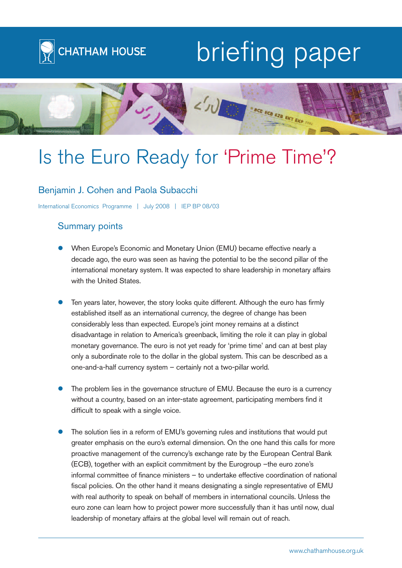

# briefing paper



# Is the Euro Ready for 'Prime Time'?

# Benjamin J. Cohen and Paola Subacchi

International Economics Programme | July 2008 | IEP BP 08/03

# Summary points

- When Europe's Economic and Monetary Union (EMU) became effective nearly a decade ago, the euro was seen as having the potential to be the second pillar of the international monetary system. It was expected to share leadership in monetary affairs with the United States.
- Ten years later, however, the story looks quite different. Although the euro has firmly established itself as an international currency, the degree of change has been considerably less than expected. Europe's joint money remains at a distinct disadvantage in relation to America's greenback, limiting the role it can play in global monetary governance. The euro is not yet ready for 'prime time' and can at best play only a subordinate role to the dollar in the global system. This can be described as a one-and-a-half currency system – certainly not a two-pillar world.
- The problem lies in the governance structure of EMU. Because the euro is a currency without a country, based on an inter-state agreement, participating members find it difficult to speak with a single voice.
- The solution lies in a reform of EMU's governing rules and institutions that would put greater emphasis on the euro's external dimension. On the one hand this calls for more proactive management of the currency's exchange rate by the European Central Bank (ECB), together with an explicit commitment by the Eurogroup –the euro zone's informal committee of finance ministers – to undertake effective coordination of national fiscal policies. On the other hand it means designating a single representative of EMU with real authority to speak on behalf of members in international councils. Unless the euro zone can learn how to project power more successfully than it has until now, dual leadership of monetary affairs at the global level will remain out of reach.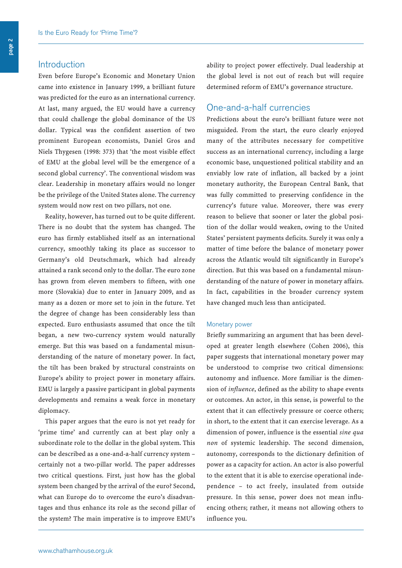## Introduction

Even before Europe's Economic and Monetary Union came into existence in January 1999, a brilliant future was predicted for the euro as an international currency. At last, many argued, the EU would have a currency that could challenge the global dominance of the US dollar. Typical was the confident assertion of two prominent European economists, Daniel Gros and Niels Thygesen (1998: 373) that 'the most visible effect of EMU at the global level will be the emergence of a second global currency'. The conventional wisdom was clear. Leadership in monetary affairs would no longer be the privilege of the United States alone. The currency system would now rest on two pillars, not one.

Reality, however, has turned out to be quite different. There is no doubt that the system has changed. The euro has firmly established itself as an international currency, smoothly taking its place as successor to Germany's old Deutschmark, which had already attained a rank second only to the dollar. The euro zone has grown from eleven members to fifteen, with one more (Slovakia) due to enter in January 2009, and as many as a dozen or more set to join in the future. Yet the degree of change has been considerably less than expected. Euro enthusiasts assumed that once the tilt began, a new two-currency system would naturally emerge. But this was based on a fundamental misunderstanding of the nature of monetary power. In fact, the tilt has been braked by structural constraints on Europe's ability to project power in monetary affairs. EMU is largely a passive participant in global payments developments and remains a weak force in monetary diplomacy.

This paper argues that the euro is not yet ready for 'prime time' and currently can at best play only a subordinate role to the dollar in the global system. This can be described as a one-and-a-half currency system – certainly not a two-pillar world. The paper addresses two critical questions. First, just how has the global system been changed by the arrival of the euro? Second, what can Europe do to overcome the euro's disadvantages and thus enhance its role as the second pillar of the system? The main imperative is to improve EMU's

ability to project power effectively. Dual leadership at the global level is not out of reach but will require determined reform of EMU's governance structure.

# One-and-a-half currencies

Predictions about the euro's brilliant future were not misguided. From the start, the euro clearly enjoyed many of the attributes necessary for competitive success as an international currency, including a large economic base, unquestioned political stability and an enviably low rate of inflation, all backed by a joint monetary authority, the European Central Bank, that was fully committed to preserving confidence in the currency's future value. Moreover, there was every reason to believe that sooner or later the global position of the dollar would weaken, owing to the United States' persistent payments deficits. Surely it was only a matter of time before the balance of monetary power across the Atlantic would tilt significantly in Europe's direction. But this was based on a fundamental misunderstanding of the nature of power in monetary affairs. In fact, capabilities in the broader currency system have changed much less than anticipated.

#### Monetary power

Briefly summarizing an argument that has been developed at greater length elsewhere (Cohen 2006), this paper suggests that international monetary power may be understood to comprise two critical dimensions: autonomy and influence. More familiar is the dimension of *influence*, defined as the ability to shape events or outcomes. An actor, in this sense, is powerful to the extent that it can effectively pressure or coerce others; in short, to the extent that it can exercise leverage. As a dimension of power, influence is the essential *sine qua non* of systemic leadership. The second dimension, autonomy, corresponds to the dictionary definition of power as a capacity for action. An actor is also powerful to the extent that it is able to exercise operational independence – to act freely, insulated from outside pressure. In this sense, power does not mean influencing others; rather, it means not allowing others to influence you.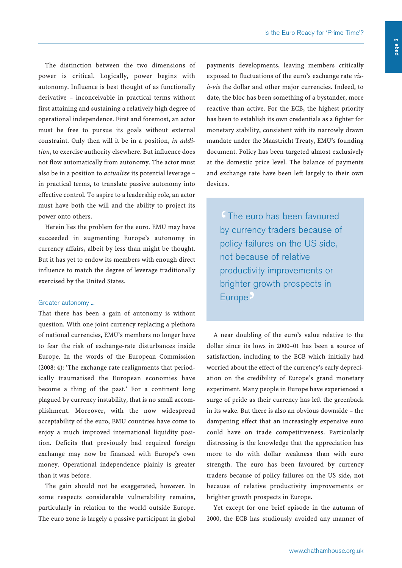The distinction between the two dimensions of power is critical. Logically, power begins with autonomy. Influence is best thought of as functionally derivative – inconceivable in practical terms without first attaining and sustaining a relatively high degree of operational independence. First and foremost, an actor must be free to pursue its goals without external constraint. Only then will it be in a position, *in addition*, to exercise authority elsewhere. But influence does not flow automatically from autonomy. The actor must also be in a position to *actualize* its potential leverage – in practical terms, to translate passive autonomy into effective control. To aspire to a leadership role, an actor must have both the will and the ability to project its power onto others.

Herein lies the problem for the euro. EMU may have succeeded in augmenting Europe's autonomy in currency affairs, albeit by less than might be thought. But it has yet to endow its members with enough direct influence to match the degree of leverage traditionally exercised by the United States.

#### Greater autonomy ...

That there has been a gain of autonomy is without question. With one joint currency replacing a plethora of national currencies, EMU's members no longer have to fear the risk of exchange-rate disturbances inside Europe. In the words of the European Commission (2008: 4): 'The exchange rate realignments that periodically traumatised the European economies have become a thing of the past.' For a continent long plagued by currency instability, that is no small accomplishment. Moreover, with the now widespread acceptability of the euro, EMU countries have come to enjoy a much improved international liquidity position. Deficits that previously had required foreign exchange may now be financed with Europe's own money. Operational independence plainly is greater than it was before.

The gain should not be exaggerated, however. In some respects considerable vulnerability remains, particularly in relation to the world outside Europe. The euro zone is largely a passive participant in global

payments developments, leaving members critically exposed to fluctuations of the euro's exchange rate *visà-vis* the dollar and other major currencies. Indeed, to date, the bloc has been something of a bystander, more reactive than active. For the ECB, the highest priority has been to establish its own credentials as a fighter for monetary stability, consistent with its narrowly drawn mandate under the Maastricht Treaty, EMU's founding document. Policy has been targeted almost exclusively at the domestic price level. The balance of payments and exchange rate have been left largely to their own devices.

The euro has been favoured<br>by currency traders because of by currency traders because of policy failures on the US side, not because of relative productivity improvements or brighter growth prospects in Europe<sup>9</sup>

A near doubling of the euro's value relative to the dollar since its lows in 2000–01 has been a source of satisfaction, including to the ECB which initially had worried about the effect of the currency's early depreciation on the credibility of Europe's grand monetary experiment. Many people in Europe have experienced a surge of pride as their currency has left the greenback in its wake. But there is also an obvious downside – the dampening effect that an increasingly expensive euro could have on trade competitiveness. Particularly distressing is the knowledge that the appreciation has more to do with dollar weakness than with euro strength. The euro has been favoured by currency traders because of policy failures on the US side, not because of relative productivity improvements or brighter growth prospects in Europe.

Yet except for one brief episode in the autumn of 2000, the ECB has studiously avoided any manner of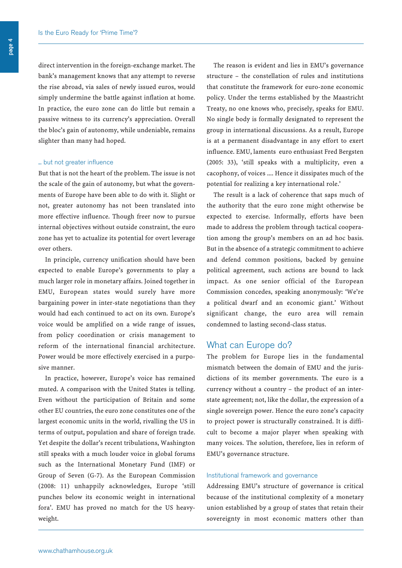direct intervention in the foreign-exchange market. The bank's management knows that any attempt to reverse the rise abroad, via sales of newly issued euros, would simply undermine the battle against inflation at home. In practice, the euro zone can do little but remain a passive witness to its currency's appreciation. Overall the bloc's gain of autonomy, while undeniable, remains slighter than many had hoped.

#### ... but not greater influence

But that is not the heart of the problem. The issue is not the scale of the gain of autonomy, but what the governments of Europe have been able to do with it. Slight or not, greater autonomy has not been translated into more effective influence. Though freer now to pursue internal objectives without outside constraint, the euro zone has yet to actualize its potential for overt leverage over others.

In principle, currency unification should have been expected to enable Europe's governments to play a much larger role in monetary affairs. Joined together in EMU, European states would surely have more bargaining power in inter-state negotiations than they would had each continued to act on its own. Europe's voice would be amplified on a wide range of issues, from policy coordination or crisis management to reform of the international financial architecture. Power would be more effectively exercised in a purposive manner.

In practice, however, Europe's voice has remained muted. A comparison with the United States is telling. Even without the participation of Britain and some other EU countries, the euro zone constitutes one of the largest economic units in the world, rivalling the US in terms of output, population and share of foreign trade. Yet despite the dollar's recent tribulations, Washington still speaks with a much louder voice in global forums such as the International Monetary Fund (IMF) or Group of Seven (G-7). As the European Commission (2008: 11) unhappily acknowledges, Europe 'still punches below its economic weight in international fora'. EMU has proved no match for the US heavyweight.

The reason is evident and lies in EMU's governance structure – the constellation of rules and institutions that constitute the framework for euro-zone economic policy. Under the terms established by the Maastricht Treaty, no one knows who, precisely, speaks for EMU. No single body is formally designated to represent the group in international discussions. As a result, Europe is at a permanent disadvantage in any effort to exert influence. EMU, laments euro enthusiast Fred Bergsten (2005: 33), 'still speaks with a multiplicity, even a cacophony, of voices .... Hence it dissipates much of the potential for realizing a key international role.'

The result is a lack of coherence that saps much of the authority that the euro zone might otherwise be expected to exercise. Informally, efforts have been made to address the problem through tactical cooperation among the group's members on an ad hoc basis. But in the absence of a strategic commitment to achieve and defend common positions, backed by genuine political agreement, such actions are bound to lack impact. As one senior official of the European Commission concedes, speaking anonymously: 'We're a political dwarf and an economic giant.' Without significant change, the euro area will remain condemned to lasting second-class status.

### What can Europe do?

The problem for Europe lies in the fundamental mismatch between the domain of EMU and the jurisdictions of its member governments. The euro is a currency without a country – the product of an interstate agreement; not, like the dollar, the expression of a single sovereign power. Hence the euro zone's capacity to project power is structurally constrained. It is difficult to become a major player when speaking with many voices. The solution, therefore, lies in reform of EMU's governance structure.

#### Institutional framework and governance

Addressing EMU's structure of governance is critical because of the institutional complexity of a monetary union established by a group of states that retain their sovereignty in most economic matters other than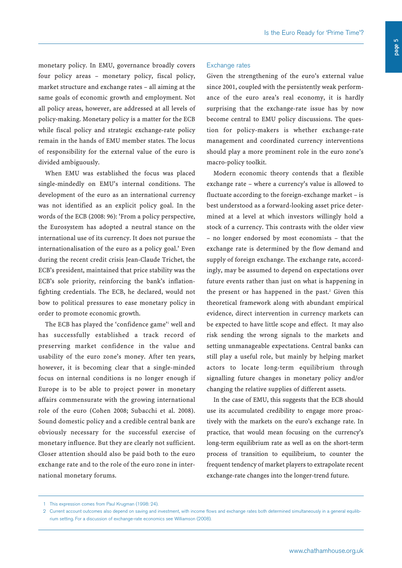monetary policy. In EMU, governance broadly covers four policy areas – monetary policy, fiscal policy, market structure and exchange rates – all aiming at the same goals of economic growth and employment. Not all policy areas, however, are addressed at all levels of policy-making. Monetary policy is a matter for the ECB while fiscal policy and strategic exchange-rate policy remain in the hands of EMU member states. The locus of responsibility for the external value of the euro is divided ambiguously.

When EMU was established the focus was placed single-mindedly on EMU's internal conditions. The development of the euro as an international currency was not identified as an explicit policy goal. In the words of the ECB (2008: 96): 'From a policy perspective, the Eurosystem has adopted a neutral stance on the international use of its currency. It does not pursue the internationalisation of the euro as a policy goal.' Even during the recent credit crisis Jean-Claude Trichet, the ECB's president, maintained that price stability was the ECB's sole priority, reinforcing the bank's inflationfighting credentials. The ECB, he declared, would not bow to political pressures to ease monetary policy in order to promote economic growth.

The ECB has played the 'confidence game' well and has successfully established a track record of preserving market confidence in the value and usability of the euro zone's money. After ten years, however, it is becoming clear that a single-minded focus on internal conditions is no longer enough if Europe is to be able to project power in monetary affairs commensurate with the growing international role of the euro (Cohen 2008; Subacchi et al. 2008). Sound domestic policy and a credible central bank are obviously necessary for the successful exercise of monetary influence. But they are clearly not sufficient. Closer attention should also be paid both to the euro exchange rate and to the role of the euro zone in international monetary forums.

#### Exchange rates

Given the strengthening of the euro's external value since 2001, coupled with the persistently weak performance of the euro area's real economy, it is hardly surprising that the exchange-rate issue has by now become central to EMU policy discussions. The question for policy-makers is whether exchange-rate management and coordinated currency interventions should play a more prominent role in the euro zone's macro-policy toolkit.

Modern economic theory contends that a flexible exchange rate – where a currency's value is allowed to fluctuate according to the foreign-exchange market – is best understood as a forward-looking asset price determined at a level at which investors willingly hold a stock of a currency. This contrasts with the older view – no longer endorsed by most economists – that the exchange rate is determined by the flow demand and supply of foreign exchange. The exchange rate, accordingly, may be assumed to depend on expectations over future events rather than just on what is happening in the present or has happened in the past. <sup>2</sup> Given this theoretical framework along with abundant empirical evidence, direct intervention in currency markets can be expected to have little scope and effect. It may also risk sending the wrong signals to the markets and setting unmanageable expectations. Central banks can still play a useful role, but mainly by helping market actors to locate long-term equilibrium through signalling future changes in monetary policy and/or changing the relative supplies of different assets.

In the case of EMU, this suggests that the ECB should use its accumulated credibility to engage more proactively with the markets on the euro's exchange rate. In practice, that would mean focusing on the currency's long-term equilibrium rate as well as on the short-term process of transition to equilibrium, to counter the frequent tendency of market players to extrapolate recent exchange-rate changes into the longer-trend future.

<sup>1</sup> This expression comes from Paul Krugman (1998: 24).

<sup>2</sup> Current account outcomes also depend on saving and investment, with income flows and exchange rates both determined simultaneously in a general equilibrium setting. For a discussion of exchange-rate economics see Williamson (2008).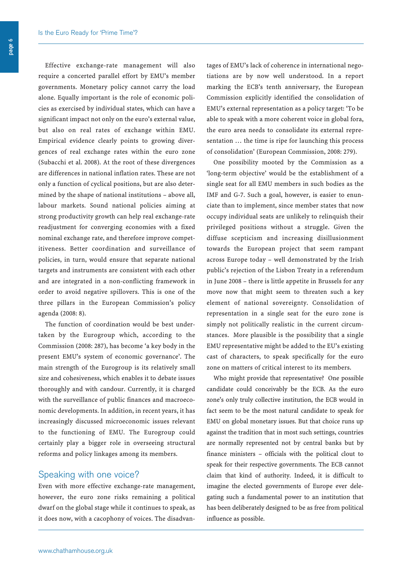Effective exchange-rate management will also require a concerted parallel effort by EMU's member governments. Monetary policy cannot carry the load alone. Equally important is the role of economic policies as exercised by individual states, which can have a significant impact not only on the euro's external value, but also on real rates of exchange within EMU. Empirical evidence clearly points to growing divergences of real exchange rates within the euro zone (Subacchi et al. 2008). At the root of these divergences are differences in national inflation rates. These are not only a function of cyclical positions, but are also determined by the shape of national institutions – above all, labour markets. Sound national policies aiming at strong productivity growth can help real exchange-rate readjustment for converging economies with a fixed nominal exchange rate, and therefore improve competitiveness. Better coordination and surveillance of policies, in turn, would ensure that separate national targets and instruments are consistent with each other and are integrated in a non-conflicting framework in order to avoid negative spillovers. This is one of the three pillars in the European Commission's policy agenda (2008: 8).

The function of coordination would be best undertaken by the Eurogroup which, according to the Commission (2008: 287), has become 'a key body in the present EMU's system of economic governance'. The main strength of the Eurogroup is its relatively small size and cohesiveness, which enables it to debate issues thoroughly and with candour. Currently, it is charged with the surveillance of public finances and macroeconomic developments. In addition, in recent years, it has increasingly discussed microeconomic issues relevant to the functioning of EMU. The Eurogroup could certainly play a bigger role in overseeing structural reforms and policy linkages among its members.

# Speaking with one voice?

Even with more effective exchange-rate management, however, the euro zone risks remaining a political dwarf on the global stage while it continues to speak, as it does now, with a cacophony of voices. The disadvantages of EMU's lack of coherence in international negotiations are by now well understood. In a report marking the ECB's tenth anniversary, the European Commission explicitly identified the consolidation of EMU's external representation as a policy target: 'To be able to speak with a more coherent voice in global fora, the euro area needs to consolidate its external representation … the time is ripe for launching this process of consolidation' (European Commission, 2008: 279).

One possibility mooted by the Commission as a 'long-term objective' would be the establishment of a single seat for all EMU members in such bodies as the IMF and G-7. Such a goal, however, is easier to enunciate than to implement, since member states that now occupy individual seats are unlikely to relinquish their privileged positions without a struggle. Given the diffuse scepticism and increasing disillusionment towards the European project that seem rampant across Europe today – well demonstrated by the Irish public's rejection of the Lisbon Treaty in a referendum in June 2008 – there is little appetite in Brussels for any move now that might seem to threaten such a key element of national sovereignty. Consolidation of representation in a single seat for the euro zone is simply not politically realistic in the current circumstances. More plausible is the possibility that a single EMU representative might be added to the EU's existing cast of characters, to speak specifically for the euro zone on matters of critical interest to its members.

Who might provide that representative? One possible candidate could conceivably be the ECB. As the euro zone's only truly collective institution, the ECB would in fact seem to be the most natural candidate to speak for EMU on global monetary issues. But that choice runs up against the tradition that in most such settings, countries are normally represented not by central banks but by finance ministers – officials with the political clout to speak for their respective governments. The ECB cannot claim that kind of authority. Indeed, it is difficult to imagine the elected governments of Europe ever delegating such a fundamental power to an institution that has been deliberately designed to be as free from political influence as possible.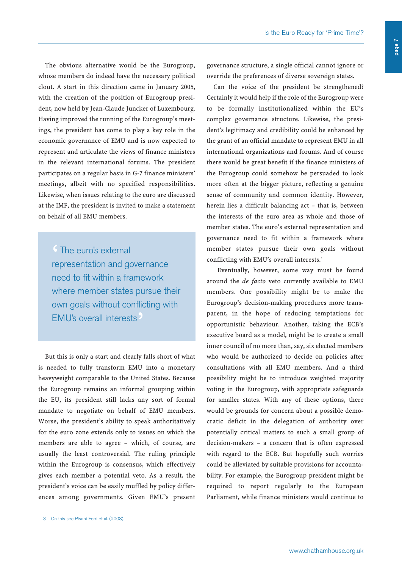The obvious alternative would be the Eurogroup, whose members do indeed have the necessary political clout. A start in this direction came in January 2005, with the creation of the position of Eurogroup president, now held by Jean-Claude Juncker of Luxembourg. Having improved the running of the Eurogroup's meetings, the president has come to play a key role in the economic governance of EMU and is now expected to represent and articulate the views of finance ministers in the relevant international forums. The president participates on a regular basis in G-7 finance ministers' meetings, albeit with no specified responsibilities. Likewise, when issues relating to the euro are discussed at the IMF, the president is invited to make a statement on behalf of all EMU members.

<sup>6</sup> The euro's external<br>representation and go representation and governance need to fit within a framework where member states pursue their own goals without conflicting with EMU's overall interests<sup>9</sup>

But this is only a start and clearly falls short of what is needed to fully transform EMU into a monetary heavyweight comparable to the United States. Because the Eurogroup remains an informal grouping within the EU, its president still lacks any sort of formal mandate to negotiate on behalf of EMU members. Worse, the president's ability to speak authoritatively for the euro zone extends only to issues on which the members are able to agree – which, of course, are usually the least controversial. The ruling principle within the Eurogroup is consensus, which effectively gives each member a potential veto. As a result, the president's voice can be easily muffled by policy differences among governments. Given EMU's present governance structure, a single official cannot ignore or override the preferences of diverse sovereign states.

Can the voice of the president be strengthened? Certainly it would help if the role of the Eurogroup were to be formally institutionalized within the EU's complex governance structure. Likewise, the president's legitimacy and credibility could be enhanced by the grant of an official mandate to represent EMU in all international organizations and forums. And of course there would be great benefit if the finance ministers of the Eurogroup could somehow be persuaded to look more often at the bigger picture, reflecting a genuine sense of community and common identity. However, herein lies a difficult balancing act – that is, between the interests of the euro area as whole and those of member states. The euro's external representation and governance need to fit within a framework where member states pursue their own goals without conflicting with EMU's overall interests.<sup>3</sup>

Eventually, however, some way must be found around the *de facto* veto currently available to EMU members. One possibility might be to make the Eurogroup's decision-making procedures more transparent, in the hope of reducing temptations for opportunistic behaviour. Another, taking the ECB's executive board as a model, might be to create a small inner council of no more than, say, six elected members who would be authorized to decide on policies after consultations with all EMU members. And a third possibility might be to introduce weighted majority voting in the Eurogroup, with appropriate safeguards for smaller states. With any of these options, there would be grounds for concern about a possible democratic deficit in the delegation of authority over potentially critical matters to such a small group of decision-makers – a concern that is often expressed with regard to the ECB. But hopefully such worries could be alleviated by suitable provisions for accountability. For example, the Eurogroup president might be required to report regularly to the European Parliament, while finance ministers would continue to

<sup>3</sup> On this see Pisani-Ferri et al. (2008).